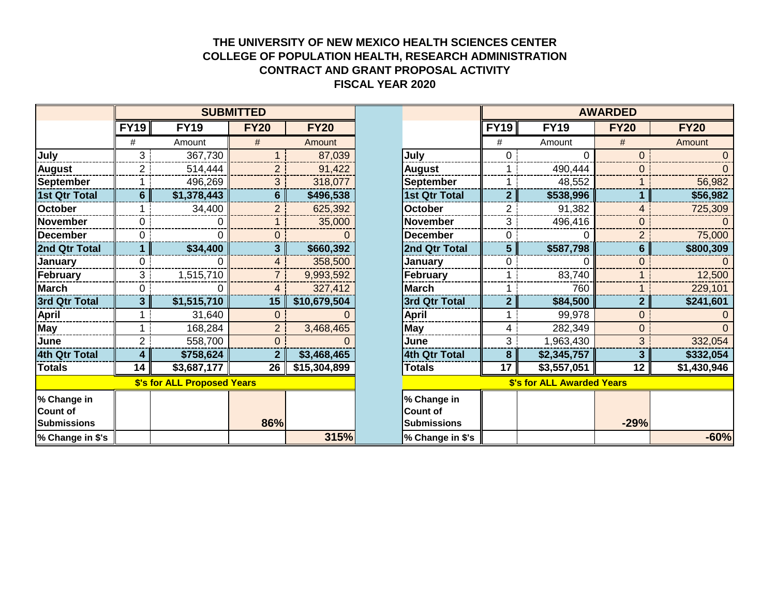## **THE UNIVERSITY OF NEW MEXICO HEALTH SCIENCES CENTER COLLEGE OF POPULATION HEALTH, RESEARCH ADMINISTRATION CONTRACT AND GRANT PROPOSAL ACTIVITY FISCAL YEAR 2020**

|                                               | <b>SUBMITTED</b><br>FY19<br><b>FY19</b><br><b>FY20</b><br><b>FY20</b><br>#<br>#<br>Amount<br>Amount |                             |                |              | <b>AWARDED</b>                                       |                |                            |             |             |
|-----------------------------------------------|-----------------------------------------------------------------------------------------------------|-----------------------------|----------------|--------------|------------------------------------------------------|----------------|----------------------------|-------------|-------------|
|                                               |                                                                                                     |                             |                |              |                                                      | <b>FY19</b>    | <b>FY19</b>                | <b>FY20</b> | <b>FY20</b> |
|                                               |                                                                                                     |                             |                |              |                                                      | #              | Amount                     | #           | Amount      |
| July                                          | 3                                                                                                   | 367,730                     |                | 87,039       | July                                                 | 0              |                            |             |             |
| <b>August</b>                                 | $\overline{2}$                                                                                      | 514,444                     | $\overline{2}$ | 91,422       | <b>August</b>                                        |                | 490,444                    | $\Omega$    |             |
| <b>September</b>                              |                                                                                                     | 496,269                     | 3              | 318,077      | <b>September</b>                                     |                | 48,552                     |             | 56,982      |
| 1st Qtr Total                                 | 6 <sup>1</sup>                                                                                      | \$1,378,443                 | 6 <sup>1</sup> | \$496,538    | <b>1st Qtr Total</b>                                 | $\mathbf{2}$   | \$538,996                  |             | \$56,982    |
| <b>October</b>                                |                                                                                                     | 34,400                      | $\overline{2}$ | 625,392      | <b>October</b>                                       | 2 <sup>1</sup> | 91,382                     |             | 725,309     |
| November                                      | 0                                                                                                   | 0                           |                | 35,000       | <b>November</b>                                      | 3 <sup>1</sup> | 496,416                    | $\Omega$    |             |
| December                                      | $\Omega$                                                                                            |                             | 0              |              | <b>December</b>                                      | 0.             |                            |             | 75,000      |
| 2nd Qtr Total                                 |                                                                                                     | \$34,400                    | $\overline{3}$ | \$660,392    | 2nd Qtr Total                                        | 5              | \$587,798                  | 6           | \$800,309   |
| <b>January</b>                                | 0                                                                                                   |                             | 4              | 358,500      | January                                              |                |                            | 0           |             |
| February                                      | 3                                                                                                   | 1,515,710                   |                | 9,993,592    | February                                             |                | 83,740                     |             | 12,500      |
| March                                         | 0                                                                                                   |                             | 4              | 327,412      | <b>March</b>                                         |                | 760                        |             | 229,101     |
| 3rd Qtr Total                                 | 3                                                                                                   | \$1,515,710                 | 15             | \$10,679,504 | 3rd Qtr Total                                        | $\overline{2}$ | \$84,500                   | 2           | \$241,601   |
| <b>April</b>                                  |                                                                                                     | 31,640                      | $\overline{0}$ |              | <b>April</b>                                         |                | 99,978                     | $\Omega$    |             |
| <b>May</b>                                    |                                                                                                     | 168,284                     | $\overline{2}$ | 3,468,465    | May                                                  | 4              | 282,349                    | $\Omega$    | $\Omega$    |
| June                                          | $\overline{2}$                                                                                      | 558,700                     | $\overline{0}$ |              | June                                                 | 3              | 1,963,430                  | 3           | 332,054     |
| 4th Qtr Total                                 |                                                                                                     | \$758,624                   | $\mathbf{2}$   | \$3,468,465  | 4th Qtr Total                                        | 8              | \$2,345,757                |             | \$332,054   |
| <b>Totals</b>                                 | 14                                                                                                  | \$3,687,177                 | 26             | \$15,304,899 | Totals                                               | 17             | \$3,557,051                | 12          | \$1,430,946 |
|                                               |                                                                                                     | \$'s for ALL Proposed Years |                |              |                                                      |                | \$'s for ALL Awarded Years |             |             |
| % Change in<br>Count of<br><b>Submissions</b> |                                                                                                     |                             | 86%            |              | % Change in<br><b>Count of</b><br><b>Submissions</b> |                |                            | $-29%$      |             |
| % Change in \$'s                              |                                                                                                     |                             |                | 315%         | % Change in \$'s                                     |                |                            |             | $-60%$      |

|                                   | <b>AWARDED</b> |             |                |             |  |  |  |  |  |  |
|-----------------------------------|----------------|-------------|----------------|-------------|--|--|--|--|--|--|
|                                   | <b>FY19</b>    | <b>FY19</b> | <b>FY20</b>    | <b>FY20</b> |  |  |  |  |  |  |
|                                   | #              | Amount      | #              | Amount      |  |  |  |  |  |  |
| July                              | 0              | 0           | 0              | 0           |  |  |  |  |  |  |
| <b>August</b>                     | 1              | 490,444     | 0              | 0           |  |  |  |  |  |  |
| <b>September</b>                  | 1              | 48,552      | 1              | 56,982      |  |  |  |  |  |  |
| <b>1st Qtr Total</b>              | $\overline{2}$ | \$538,996   | 1              | \$56,982    |  |  |  |  |  |  |
| <b>October</b>                    | 2              | 91,382      | 4              | 725,309     |  |  |  |  |  |  |
| November                          | 3              | 496,416     | 0              |             |  |  |  |  |  |  |
| <b>December</b>                   | 0              |             | 2              | 75,000      |  |  |  |  |  |  |
| 2nd Qtr Total                     | 5              | \$587,798   | 6              | \$800,309   |  |  |  |  |  |  |
| January                           | 0              | 0           | 0              |             |  |  |  |  |  |  |
| February                          | 1              | 83,740      | 1              | 12,500      |  |  |  |  |  |  |
| <b>March</b>                      | 1              | 760         | 1              | 229,101     |  |  |  |  |  |  |
| 3rd Qtr Total                     | $\overline{2}$ | \$84,500    | $\overline{2}$ | \$241,601   |  |  |  |  |  |  |
| April                             | 1              | 99,978      | 0              | 0           |  |  |  |  |  |  |
| <b>May</b>                        | $\overline{4}$ | 282,349     | 0              | $\Omega$    |  |  |  |  |  |  |
| June                              | 3              | 1,963,430   | 3              | 332,054     |  |  |  |  |  |  |
| 4th Qtr Total                     | 8              | \$2,345,757 | 3              | \$332,054   |  |  |  |  |  |  |
| <b>Totals</b>                     | 17             | \$3,557,051 | 12             | \$1,430,946 |  |  |  |  |  |  |
| <b>\$'s for ALL Awarded Years</b> |                |             |                |             |  |  |  |  |  |  |
| % Change in                       |                |             |                |             |  |  |  |  |  |  |
| <b>Count of</b>                   |                |             |                |             |  |  |  |  |  |  |
| <b>Submissions</b>                |                |             | $-29%$         |             |  |  |  |  |  |  |
| % Change in \$'s                  |                |             |                | $-60%$      |  |  |  |  |  |  |